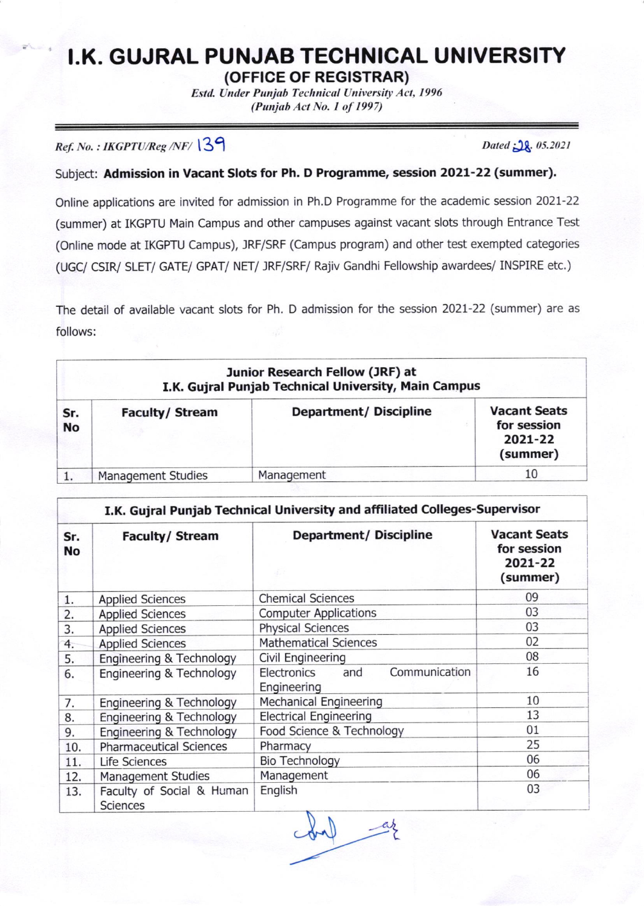## **I.K. GUJRAL PUNJAB TECHNICAL UNIVERSITY**

Estd. Under Punjab Technical University Act, 1996  $(Punjab Act No. 1 of 1997)$ 

 $Ref. No. : IKGPTU/Reg/NF/139$  Dated  $38.05.2021$ 

Subject: Admission in Vacant Slots for Ph. D Programme, session 2021-22 (summer).

Online applications are invited for admission in Ph.D Programme for the academic session 2021-22 (summer) at IKGPTU Main Campus and other campuses against vacant slots through Entrance Test (Online mode at IKGPTU Campus), JRF/SRF (Campus program) and other test exempted categories (UGC/ CSIR/ SLET/ GATE/ GPAT/ NET/ JRF/SRF/ Rajiv Gandhi Fellowship awardees/ INSPIRE etc.)

The detail of available vacant slots for Ph. D admission for the session 2027-22 (summer) are as follows:

| Junior Research Fellow (JRF) at<br>I.K. Gujral Punjab Technical University, Main Campus |                           |                               |                                                           |  |  |
|-----------------------------------------------------------------------------------------|---------------------------|-------------------------------|-----------------------------------------------------------|--|--|
| Sr.<br><b>No</b>                                                                        | <b>Faculty/Stream</b>     | <b>Department/ Discipline</b> | <b>Vacant Seats</b><br>for session<br>2021-22<br>(summer) |  |  |
|                                                                                         | <b>Management Studies</b> | Management                    | 10                                                        |  |  |

| I.K. Gujral Punjab Technical University and affiliated Colleges-Supervisor |                                                   |                                                    |                                                                 |  |  |
|----------------------------------------------------------------------------|---------------------------------------------------|----------------------------------------------------|-----------------------------------------------------------------|--|--|
| Sr.<br><b>No</b>                                                           | <b>Faculty/ Stream</b><br><b>Applied Sciences</b> | <b>Department/ Discipline</b>                      | <b>Vacant Seats</b><br>for session<br>2021-22<br>(summer)<br>09 |  |  |
| 1.                                                                         |                                                   | <b>Chemical Sciences</b>                           |                                                                 |  |  |
| 2.                                                                         | <b>Applied Sciences</b>                           | <b>Computer Applications</b>                       | 03                                                              |  |  |
| 3.                                                                         | <b>Applied Sciences</b>                           | <b>Physical Sciences</b>                           | 03                                                              |  |  |
| 4.                                                                         | <b>Applied Sciences</b>                           | <b>Mathematical Sciences</b>                       | 02                                                              |  |  |
| 5.                                                                         | Engineering & Technology                          | Civil Engineering                                  | 08                                                              |  |  |
| 6.                                                                         | Engineering & Technology                          | Communication<br>Electronics<br>and<br>Engineering | 16                                                              |  |  |
| 7.                                                                         | Engineering & Technology                          | <b>Mechanical Engineering</b>                      | 10                                                              |  |  |
| 8.                                                                         | Engineering & Technology                          | <b>Electrical Engineering</b>                      | 13                                                              |  |  |
| 9.                                                                         | Engineering & Technology                          | Food Science & Technology                          | 01                                                              |  |  |
| 10.                                                                        | <b>Pharmaceutical Sciences</b>                    | Pharmacy                                           | 25                                                              |  |  |
| 11.                                                                        | Life Sciences                                     | <b>Bio Technology</b>                              | 06                                                              |  |  |
| 12.                                                                        | Management Studies                                | Management                                         | 06                                                              |  |  |
| 13.                                                                        | Faculty of Social & Human<br><b>Sciences</b>      | English                                            | 03                                                              |  |  |

conf